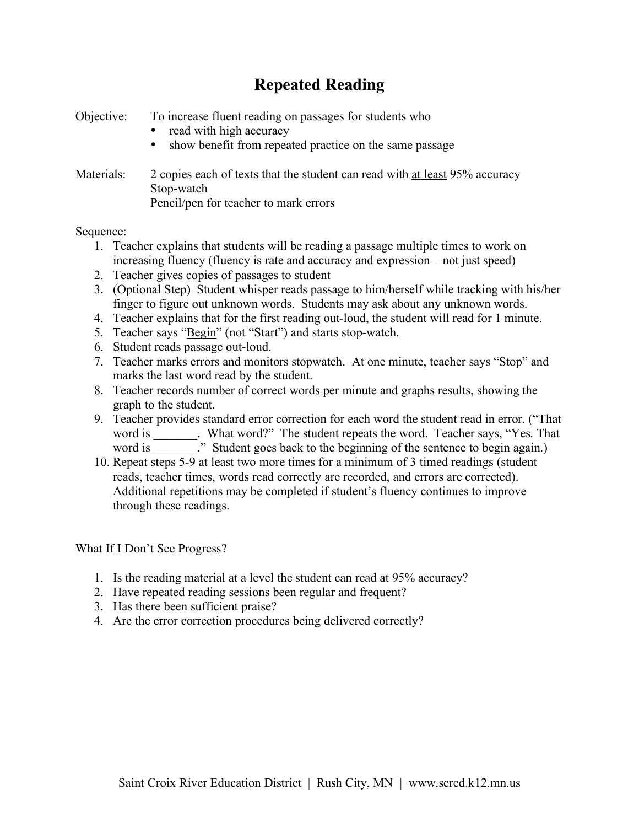## **Repeated Reading**

Objective: To increase fluent reading on passages for students who

- read with high accuracy
- show benefit from repeated practice on the same passage

Materials: 2 copies each of texts that the student can read with at least 95% accuracy Stop-watch Pencil/pen for teacher to mark errors

## Sequence:

- 1. Teacher explains that students will be reading a passage multiple times to work on increasing fluency (fluency is rate and accuracy and expression – not just speed)
- 2. Teacher gives copies of passages to student
- 3. (Optional Step) Student whisper reads passage to him/herself while tracking with his/her finger to figure out unknown words. Students may ask about any unknown words.
- 4. Teacher explains that for the first reading out-loud, the student will read for 1 minute.
- 5. Teacher says "Begin" (not "Start") and starts stop-watch.
- 6. Student reads passage out-loud.
- 7. Teacher marks errors and monitors stopwatch. At one minute, teacher says "Stop" and marks the last word read by the student.
- 8. Teacher records number of correct words per minute and graphs results, showing the graph to the student.
- 9. Teacher provides standard error correction for each word the student read in error. ("That word is \_\_\_\_\_\_\_\_. What word?" The student repeats the word. Teacher says, "Yes. That word is \_\_\_\_\_\_\_." Student goes back to the beginning of the sentence to begin again.)
- 10. Repeat steps 5-9 at least two more times for a minimum of 3 timed readings (student reads, teacher times, words read correctly are recorded, and errors are corrected). Additional repetitions may be completed if student's fluency continues to improve through these readings.

What If I Don't See Progress?

- 1. Is the reading material at a level the student can read at 95% accuracy?
- 2. Have repeated reading sessions been regular and frequent?
- 3. Has there been sufficient praise?
- 4. Are the error correction procedures being delivered correctly?